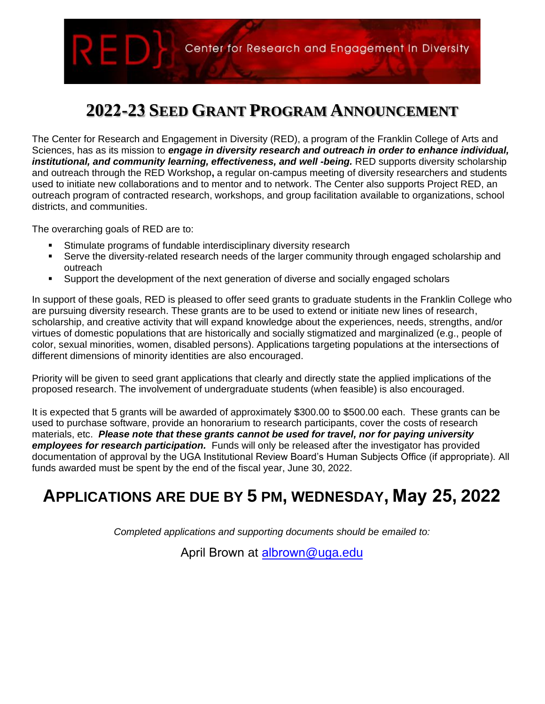# **2022-23 SEED GRANT PROGRAM ANNOUNCEMENT**

The Center for Research and Engagement in Diversity (RED), a program of the Franklin College of Arts and Sciences, has as its mission to *engage in diversity research and outreach in order to enhance individual, institutional, and community learning, effectiveness, and well -being.* RED supports diversity scholarship and outreach through the RED Workshop**,** a regular on-campus meeting of diversity researchers and students used to initiate new collaborations and to mentor and to network. The Center also supports Project RED, an outreach program of contracted research, workshops, and group facilitation available to organizations, school districts, and communities.

The overarching goals of RED are to:

ED

- **EXTERGHEED FILTE ISLESS EXECUTE:** Stimulate programs of fundable interdisciplinary diversity research
- Serve the diversity-related research needs of the larger community through engaged scholarship and outreach
- Support the development of the next generation of diverse and socially engaged scholars

In support of these goals, RED is pleased to offer seed grants to graduate students in the Franklin College who are pursuing diversity research. These grants are to be used to extend or initiate new lines of research, scholarship, and creative activity that will expand knowledge about the experiences, needs, strengths, and/or virtues of domestic populations that are historically and socially stigmatized and marginalized (e.g., people of color, sexual minorities, women, disabled persons). Applications targeting populations at the intersections of different dimensions of minority identities are also encouraged.

Priority will be given to seed grant applications that clearly and directly state the applied implications of the proposed research. The involvement of undergraduate students (when feasible) is also encouraged.

It is expected that 5 grants will be awarded of approximately \$300.00 to \$500.00 each. These grants can be used to purchase software, provide an honorarium to research participants, cover the costs of research materials, etc. *Please note that these grants cannot be used for travel, nor for paying university employees for research participation.* Funds will only be released after the investigator has provided documentation of approval by the UGA Institutional Review Board's Human Subjects Office (if appropriate). All funds awarded must be spent by the end of the fiscal year, June 30, 2022.

# **APPLICATIONS ARE DUE BY 5 PM, WEDNESDAY, May 25, 2022**

*Completed applications and supporting documents should be emailed to:* 

April Brown at albrown[@uga.edu](mailto:swgray@uga.edu)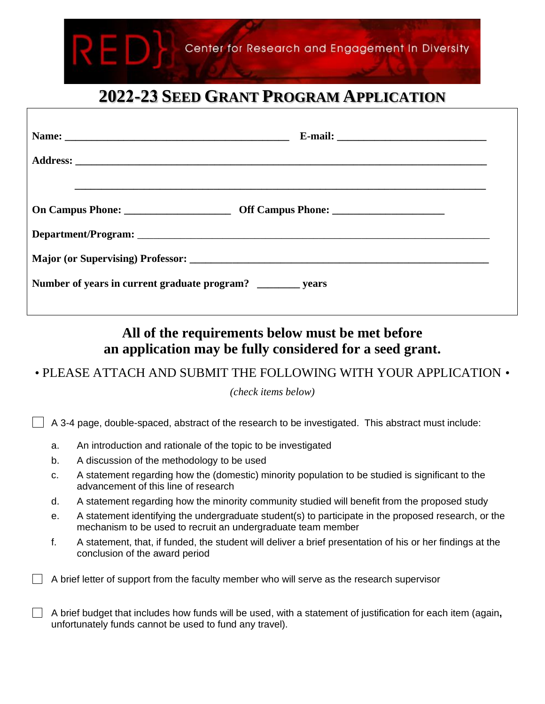

### **2022-23 SEED GRANT PROGRAM APPLICATION**

| Number of years in current graduate program? __________ years |  |
|---------------------------------------------------------------|--|

### **All of the requirements below must be met before an application may be fully considered for a seed grant.**

• PLEASE ATTACH AND SUBMIT THE FOLLOWING WITH YOUR APPLICATION •

*(check items below)*

A 3-4 page, double-spaced, abstract of the research to be investigated. This abstract must include:

- a. An introduction and rationale of the topic to be investigated
- b. A discussion of the methodology to be used
- c. A statement regarding how the (domestic) minority population to be studied is significant to the advancement of this line of research
- d. A statement regarding how the minority community studied will benefit from the proposed study
- e. A statement identifying the undergraduate student(s) to participate in the proposed research, or the mechanism to be used to recruit an undergraduate team member
- f. A statement, that, if funded, the student will deliver a brief presentation of his or her findings at the conclusion of the award period
- A brief letter of support from the faculty member who will serve as the research supervisor

A brief budget that includes how funds will be used, with a statement of justification for each item (again**,**  unfortunately funds cannot be used to fund any travel).